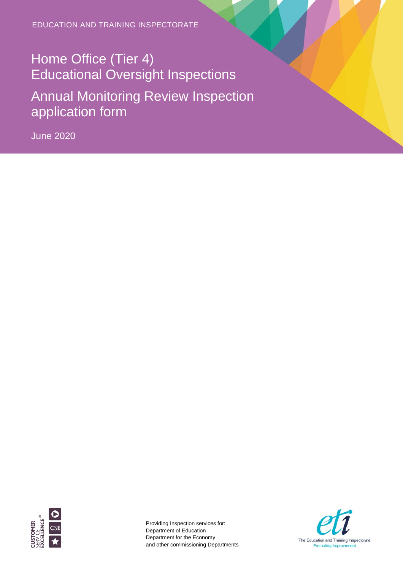EDUCATION AND TRAINING INSPECTORATE

# Home Office (Tier 4) Educational Oversight Inspections Annual Monitoring Review Inspection application form

June 2020



Providing Inspection services for: Department of Education Department for the Economy and other commissioning Departments

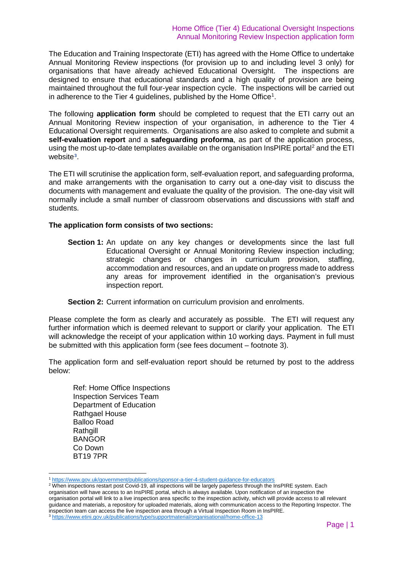The Education and Training Inspectorate (ETI) has agreed with the Home Office to undertake Annual Monitoring Review inspections (for provision up to and including level 3 only) for organisations that have already achieved Educational Oversight. The inspections are designed to ensure that educational standards and a high quality of provision are being maintained throughout the full four-year inspection cycle. The inspections will be carried out in adherence to the Tier 4 guidelines, published by the Home Office $^{\rm 1}.$  $^{\rm 1}.$  $^{\rm 1}.$ 

The following **application form** should be completed to request that the ETI carry out an Annual Monitoring Review inspection of your organisation, in adherence to the Tier 4 Educational Oversight requirements. Organisations are also asked to complete and submit a **self-evaluation report** and a **safeguarding proforma**, as part of the application process, using the most up-to-date templates available on the organisation InsPIRE portal<sup>[2](#page-1-1)</sup> and the ETI website**[3](#page-1-2)**.

The ETI will scrutinise the application form, self-evaluation report, and safeguarding proforma, and make arrangements with the organisation to carry out a one-day visit to discuss the documents with management and evaluate the quality of the provision. The one-day visit will normally include a small number of classroom observations and discussions with staff and students.

#### **The application form consists of two sections:**

**Section 1:** An update on any key changes or developments since the last full Educational Oversight or Annual Monitoring Review inspection including; strategic changes or changes in curriculum provision, staffing, accommodation and resources, and an update on progress made to address any areas for improvement identified in the organisation's previous inspection report.

**Section 2:** Current information on curriculum provision and enrolments.

Please complete the form as clearly and accurately as possible. The ETI will request any further information which is deemed relevant to support or clarify your application. The ETI will acknowledge the receipt of your application within 10 working days. Payment in full must be submitted with this application form (see fees document – footnote 3).

The application form and self-evaluation report should be returned by post to the address below:

Ref: Home Office Inspections Inspection Services Team Department of Education Rathgael House Balloo Road Rathgill BANGOR Co Down BT19 7PR

<span id="page-1-2"></span><span id="page-1-1"></span><span id="page-1-0"></span><sup>2</sup> When inspections restart post Covid-19, all inspections will be largely paperless through the InsPIRE system. Each organisation will have access to an InsPIRE portal, which is always available. Upon notification of an inspection the organisation portal will link to a live inspection area specific to the inspection activity, which will provide access to all relevant guidance and materials, a repository for uploaded materials, along with communication access to the Reporting Inspector. The inspection team can access the live inspection area through a Virtual Inspection Room in InsPIRE. <sup>3</sup> <https://www.etini.gov.uk/publications/type/supportmaterial/organisational/home-office-13>

 <sup>1</sup> <https://www.gov.uk/government/publications/sponsor-a-tier-4-student-guidance-for-educators>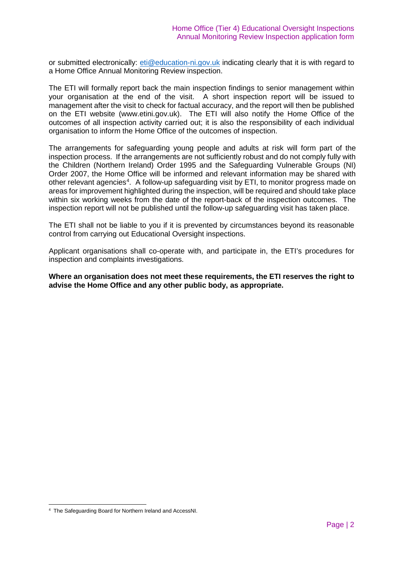or submitted electronically: [eti@education-ni.gov.uk](mailto:eti@education-ni.gov.uk) indicating clearly that it is with regard to a Home Office Annual Monitoring Review inspection.

The ETI will formally report back the main inspection findings to senior management within your organisation at the end of the visit. A short inspection report will be issued to management after the visit to check for factual accuracy, and the report will then be published on the ETI website (www.etini.gov.uk). The ETI will also notify the Home Office of the outcomes of all inspection activity carried out; it is also the responsibility of each individual organisation to inform the Home Office of the outcomes of inspection.

The arrangements for safeguarding young people and adults at risk will form part of the inspection process. If the arrangements are not sufficiently robust and do not comply fully with the Children (Northern Ireland) Order 1995 and the Safeguarding Vulnerable Groups (NI) Order 2007, the Home Office will be informed and relevant information may be shared with other relevant agencies<sup>[4](#page-2-0)</sup>. A follow-up safeguarding visit by ETI, to monitor progress made on areas for improvement highlighted during the inspection, will be required and should take place within six working weeks from the date of the report-back of the inspection outcomes. The inspection report will not be published until the follow-up safeguarding visit has taken place.

The ETI shall not be liable to you if it is prevented by circumstances beyond its reasonable control from carrying out Educational Oversight inspections.

Applicant organisations shall co-operate with, and participate in, the ETI's procedures for inspection and complaints investigations.

**Where an organisation does not meet these requirements, the ETI reserves the right to advise the Home Office and any other public body, as appropriate.**

<span id="page-2-0"></span> <sup>4</sup> The Safeguarding Board for Northern Ireland and AccessNI.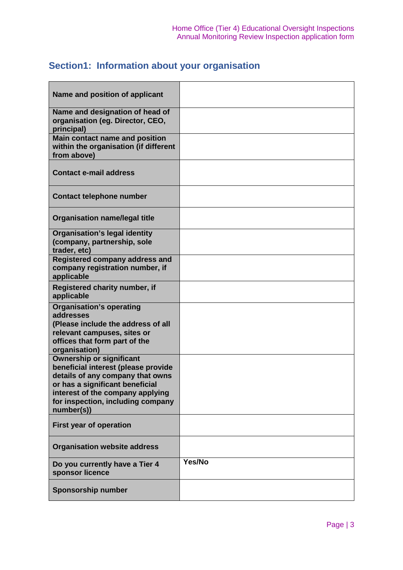# **Section1: Information about your organisation**

| Name and position of applicant                                                                                                                                                                                                       |        |
|--------------------------------------------------------------------------------------------------------------------------------------------------------------------------------------------------------------------------------------|--------|
| Name and designation of head of<br>organisation (eg. Director, CEO,<br>principal)                                                                                                                                                    |        |
| <b>Main contact name and position</b><br>within the organisation (if different<br>from above)                                                                                                                                        |        |
| <b>Contact e-mail address</b>                                                                                                                                                                                                        |        |
| <b>Contact telephone number</b>                                                                                                                                                                                                      |        |
| <b>Organisation name/legal title</b>                                                                                                                                                                                                 |        |
| <b>Organisation's legal identity</b><br>(company, partnership, sole<br>trader, etc)                                                                                                                                                  |        |
| <b>Registered company address and</b><br>company registration number, if<br>applicable                                                                                                                                               |        |
| Registered charity number, if<br>applicable                                                                                                                                                                                          |        |
| <b>Organisation's operating</b><br>addresses<br>(Please include the address of all<br>relevant campuses, sites or<br>offices that form part of the<br>organisation)                                                                  |        |
| <b>Ownership or significant</b><br>beneficial interest (please provide<br>details of any company that owns<br>or has a significant beneficial<br>interest of the company applying<br>for inspection, including company<br>number(s)) |        |
| <b>First year of operation</b>                                                                                                                                                                                                       |        |
| <b>Organisation website address</b>                                                                                                                                                                                                  |        |
| Do you currently have a Tier 4<br>sponsor licence                                                                                                                                                                                    | Yes/No |
| <b>Sponsorship number</b>                                                                                                                                                                                                            |        |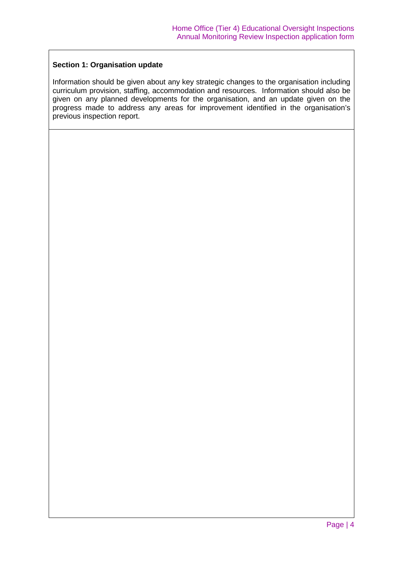#### **Section 1: Organisation update**

Information should be given about any key strategic changes to the organisation including curriculum provision, staffing, accommodation and resources. Information should also be given on any planned developments for the organisation, and an update given on the progress made to address any areas for improvement identified in the organisation's previous inspection report.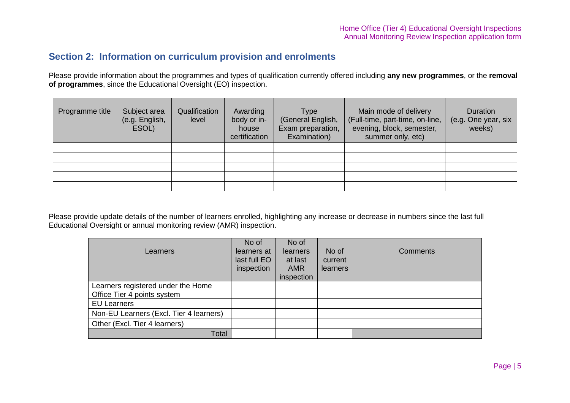## **Section 2: Information on curriculum provision and enrolments**

Please provide information about the programmes and types of qualification currently offered including **any new programmes**, or the **removal of programmes**, since the Educational Oversight (EO) inspection.

| Programme title | Subject area<br>(e.g. English,<br>ESOL) | Qualification<br>level | Awarding<br>body or in-<br>house<br>certification | <b>Type</b><br>(General English,<br>Exam preparation,<br>Examination) | Main mode of delivery<br>(Full-time, part-time, on-line,<br>evening, block, semester,<br>summer only, etc) | <b>Duration</b><br>(e.g. One year, six<br>weeks) |
|-----------------|-----------------------------------------|------------------------|---------------------------------------------------|-----------------------------------------------------------------------|------------------------------------------------------------------------------------------------------------|--------------------------------------------------|
|                 |                                         |                        |                                                   |                                                                       |                                                                                                            |                                                  |
|                 |                                         |                        |                                                   |                                                                       |                                                                                                            |                                                  |
|                 |                                         |                        |                                                   |                                                                       |                                                                                                            |                                                  |
|                 |                                         |                        |                                                   |                                                                       |                                                                                                            |                                                  |
|                 |                                         |                        |                                                   |                                                                       |                                                                                                            |                                                  |

Please provide update details of the number of learners enrolled, highlighting any increase or decrease in numbers since the last full Educational Oversight or annual monitoring review (AMR) inspection.

| Learners                                                          | No of<br>learners at<br>last full EO<br>inspection | No of<br>learners<br>at last<br><b>AMR</b><br>inspection | No of<br>current<br><b>learners</b> | Comments |
|-------------------------------------------------------------------|----------------------------------------------------|----------------------------------------------------------|-------------------------------------|----------|
| Learners registered under the Home<br>Office Tier 4 points system |                                                    |                                                          |                                     |          |
| <b>EU Learners</b>                                                |                                                    |                                                          |                                     |          |
| Non-EU Learners (Excl. Tier 4 learners)                           |                                                    |                                                          |                                     |          |
| Other (Excl. Tier 4 learners)                                     |                                                    |                                                          |                                     |          |
| Total                                                             |                                                    |                                                          |                                     |          |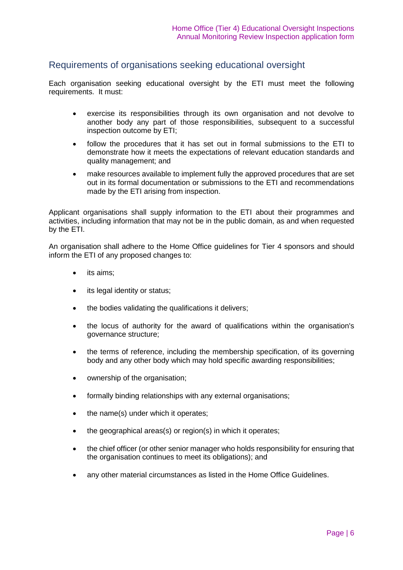### Requirements of organisations seeking educational oversight

Each organisation seeking educational oversight by the ETI must meet the following requirements. It must:

- exercise its responsibilities through its own organisation and not devolve to another body any part of those responsibilities, subsequent to a successful inspection outcome by ETI;
- follow the procedures that it has set out in formal submissions to the ETI to demonstrate how it meets the expectations of relevant education standards and quality management; and
- make resources available to implement fully the approved procedures that are set out in its formal documentation or submissions to the ETI and recommendations made by the ETI arising from inspection.

Applicant organisations shall supply information to the ETI about their programmes and activities, including information that may not be in the public domain, as and when requested by the ETI.

An organisation shall adhere to the Home Office guidelines for Tier 4 sponsors and should inform the ETI of any proposed changes to:

- its aims;
- its legal identity or status;
- the bodies validating the qualifications it delivers;
- the locus of authority for the award of qualifications within the organisation's governance structure;
- the terms of reference, including the membership specification, of its governing body and any other body which may hold specific awarding responsibilities;
- ownership of the organisation;
- formally binding relationships with any external organisations;
- the name(s) under which it operates;
- the geographical areas(s) or region(s) in which it operates;
- the chief officer (or other senior manager who holds responsibility for ensuring that the organisation continues to meet its obligations); and
- any other material circumstances as listed in the Home Office Guidelines.